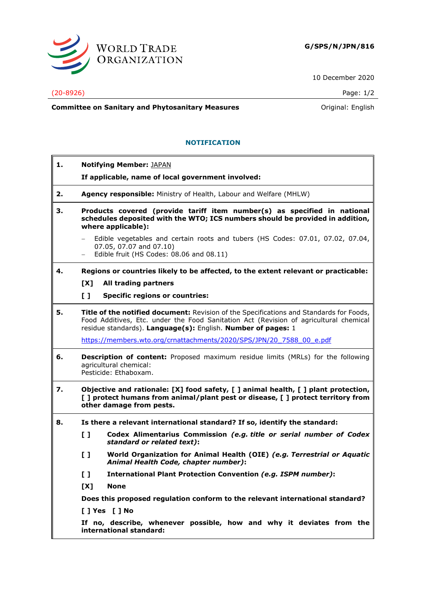

10 December 2020

## (20-8926) Page: 1/2

**Committee on Sanitary and Phytosanitary Measures Committee on Sanitary and Phytosanitary Measures Committee on Sanitary and Phytosanitary Measures** 

## **NOTIFICATION**

| 1. |                                                                                                                                                                                                    | <b>Notifying Member: JAPAN</b>                                                                                                                                                                                                                   |  |
|----|----------------------------------------------------------------------------------------------------------------------------------------------------------------------------------------------------|--------------------------------------------------------------------------------------------------------------------------------------------------------------------------------------------------------------------------------------------------|--|
|    |                                                                                                                                                                                                    | If applicable, name of local government involved:                                                                                                                                                                                                |  |
| 2. |                                                                                                                                                                                                    | Agency responsible: Ministry of Health, Labour and Welfare (MHLW)                                                                                                                                                                                |  |
| з. |                                                                                                                                                                                                    | Products covered (provide tariff item number(s) as specified in national<br>schedules deposited with the WTO; ICS numbers should be provided in addition,<br>where applicable):                                                                  |  |
|    | $\overline{\phantom{m}}$                                                                                                                                                                           | Edible vegetables and certain roots and tubers (HS Codes: 07.01, 07.02, 07.04,<br>07.05, 07.07 and 07.10)<br>Edible fruit (HS Codes: 08.06 and 08.11)                                                                                            |  |
| 4. |                                                                                                                                                                                                    | Regions or countries likely to be affected, to the extent relevant or practicable:                                                                                                                                                               |  |
|    | [X]                                                                                                                                                                                                | All trading partners                                                                                                                                                                                                                             |  |
|    | $\mathbf{L}$                                                                                                                                                                                       | <b>Specific regions or countries:</b>                                                                                                                                                                                                            |  |
| 5. |                                                                                                                                                                                                    | Title of the notified document: Revision of the Specifications and Standards for Foods,<br>Food Additives, Etc. under the Food Sanitation Act (Revision of agricultural chemical<br>residue standards). Language(s): English. Number of pages: 1 |  |
|    |                                                                                                                                                                                                    | https://members.wto.org/crnattachments/2020/SPS/JPN/20 7588 00 e.pdf                                                                                                                                                                             |  |
| 6. | <b>Description of content:</b> Proposed maximum residue limits (MRLs) for the following<br>agricultural chemical:<br>Pesticide: Ethaboxam.                                                         |                                                                                                                                                                                                                                                  |  |
| 7. | Objective and rationale: [X] food safety, [ ] animal health, [ ] plant protection,<br>[ ] protect humans from animal/plant pest or disease, [ ] protect territory from<br>other damage from pests. |                                                                                                                                                                                                                                                  |  |
| 8. | Is there a relevant international standard? If so, identify the standard:                                                                                                                          |                                                                                                                                                                                                                                                  |  |
|    | $\mathbf{L}$                                                                                                                                                                                       | Codex Alimentarius Commission (e.g. title or serial number of Codex<br>standard or related text):                                                                                                                                                |  |
|    | $\mathbf{L}$                                                                                                                                                                                       | World Organization for Animal Health (OIE) (e.g. Terrestrial or Aquatic<br>Animal Health Code, chapter number):                                                                                                                                  |  |
|    | $\mathbf{L}$                                                                                                                                                                                       | <b>International Plant Protection Convention (e.g. ISPM number):</b>                                                                                                                                                                             |  |
|    | [X]                                                                                                                                                                                                | <b>None</b>                                                                                                                                                                                                                                      |  |
|    |                                                                                                                                                                                                    | Does this proposed regulation conform to the relevant international standard?                                                                                                                                                                    |  |
|    |                                                                                                                                                                                                    | [ ] Yes [ ] No                                                                                                                                                                                                                                   |  |
|    |                                                                                                                                                                                                    | If no, describe, whenever possible, how and why it deviates from the<br>international standard:                                                                                                                                                  |  |
|    |                                                                                                                                                                                                    |                                                                                                                                                                                                                                                  |  |